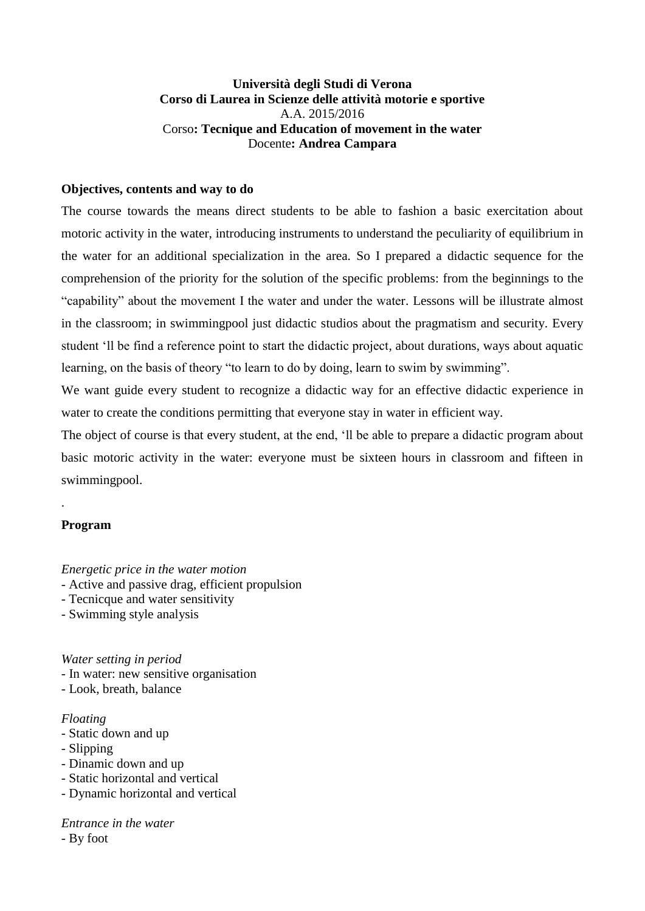# **Università degli Studi di Verona Corso di Laurea in Scienze delle attività motorie e sportive** A.A. 2015/2016 Corso**: Tecnique and Education of movement in the water** Docente**: Andrea Campara**

# **Objectives, contents and way to do**

The course towards the means direct students to be able to fashion a basic exercitation about motoric activity in the water, introducing instruments to understand the peculiarity of equilibrium in the water for an additional specialization in the area. So I prepared a didactic sequence for the comprehension of the priority for the solution of the specific problems: from the beginnings to the "capability" about the movement I the water and under the water. Lessons will be illustrate almost in the classroom; in swimmingpool just didactic studios about the pragmatism and security. Every student 'll be find a reference point to start the didactic project, about durations, ways about aquatic learning, on the basis of theory "to learn to do by doing, learn to swim by swimming".

We want guide every student to recognize a didactic way for an effective didactic experience in water to create the conditions permitting that everyone stay in water in efficient way.

The object of course is that every student, at the end, 'll be able to prepare a didactic program about basic motoric activity in the water: everyone must be sixteen hours in classroom and fifteen in swimmingpool.

### **Program**

.

*Energetic price in the water motion*

- Active and passive drag, efficient propulsion
- Tecnicque and water sensitivity
- Swimming style analysis

*Water setting in period*

- In water: new sensitive organisation

- Look, breath, balance

### *Floating*

- Static down and up
- Slipping
- Dinamic down and up
- Static horizontal and vertical
- Dynamic horizontal and vertical

*Entrance in the water* - By foot